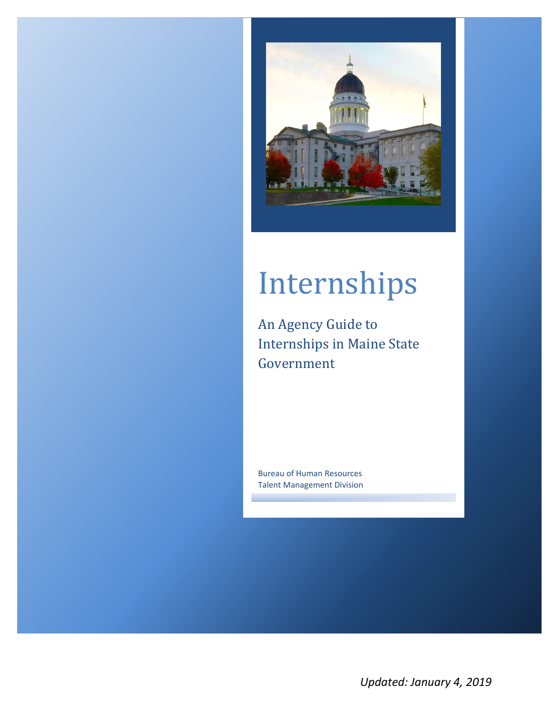

# Internships

An Agency Guide to Internships in Maine State Government

Bureau of Human Resources Talent Management Division

*Updated: January 4, 2019*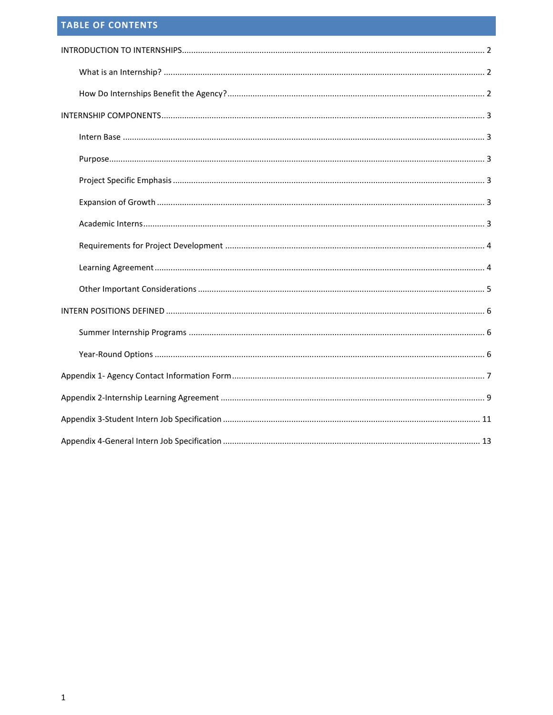# <span id="page-1-0"></span>**TABLE OF CONTENTS**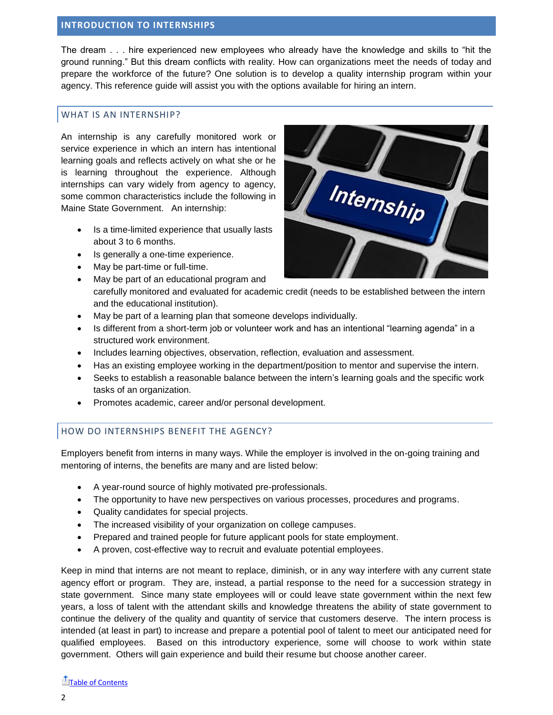#### <span id="page-2-0"></span>**INTRODUCTION TO INTERNSHIPS**

The dream . . . hire experienced new employees who already have the knowledge and skills to "hit the ground running." But this dream conflicts with reality. How can organizations meet the needs of today and prepare the workforce of the future? One solution is to develop a quality internship program within your agency. This reference guide will assist you with the options available for hiring an intern.

#### <span id="page-2-1"></span>WHAT IS AN INTERNSHIP?

An internship is any carefully monitored work or service experience in which an intern has intentional learning goals and reflects actively on what she or he is learning throughout the experience. Although internships can vary widely from agency to agency, some common characteristics include the following in Maine State Government. An internship:

- Is a time-limited experience that usually lasts about 3 to 6 months.
- Is generally a one-time experience.
- May be part-time or full-time.
- May be part of an educational program and carefully monitored and evaluated for academic credit (needs to be established between the intern and the educational institution).
- May be part of a learning plan that someone develops individually.
- Is different from a short-term job or volunteer work and has an intentional "learning agenda" in a structured work environment.
- Includes learning objectives, observation, reflection, evaluation and assessment.
- Has an existing employee working in the department/position to mentor and supervise the intern.
- Seeks to establish a reasonable balance between the intern's learning goals and the specific work tasks of an organization.
- Promotes academic, career and/or personal development.

### <span id="page-2-2"></span>HOW DO INTERNSHIPS BENEFIT THE AGENCY?

Employers benefit from interns in many ways. While the employer is involved in the on-going training and mentoring of interns, the benefits are many and are listed below:

- A year-round source of highly motivated pre-professionals.
- The opportunity to have new perspectives on various processes, procedures and programs.
- Quality candidates for special projects.
- The increased visibility of your organization on college campuses.
- Prepared and trained people for future applicant pools for state employment.
- A proven, cost-effective way to recruit and evaluate potential employees.

Keep in mind that interns are not meant to replace, diminish, or in any way interfere with any current state agency effort or program. They are, instead, a partial response to the need for a succession strategy in state government. Since many state employees will or could leave state government within the next few years, a loss of talent with the attendant skills and knowledge threatens the ability of state government to continue the delivery of the quality and quantity of service that customers deserve. The intern process is intended (at least in part) to increase and prepare a potential pool of talent to meet our anticipated need for qualified employees. Based on this introductory experience, some will choose to work within state government. Others will gain experience and build their resume but choose another career.

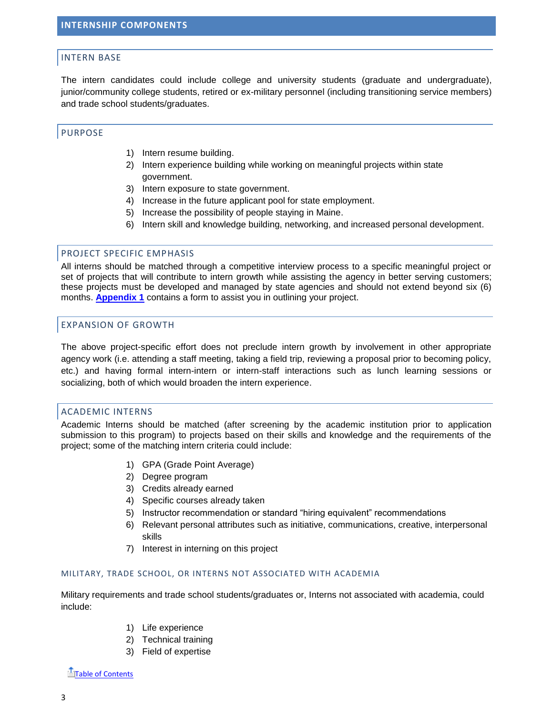#### <span id="page-3-1"></span><span id="page-3-0"></span>INTERN BASE

The intern candidates could include college and university students (graduate and undergraduate), junior/community college students, retired or ex-military personnel (including transitioning service members) and trade school students/graduates.

#### <span id="page-3-2"></span>PURPOSE

- 1) Intern resume building.
- 2) Intern experience building while working on meaningful projects within state government.
- 3) Intern exposure to state government.
- 4) Increase in the future applicant pool for state employment.
- 5) Increase the possibility of people staying in Maine.
- 6) Intern skill and knowledge building, networking, and increased personal development.

#### <span id="page-3-3"></span>PROJECT SPECIFIC EMPHASIS

All interns should be matched through a competitive interview process to a specific meaningful project or set of projects that will contribute to intern growth while assisting the agency in better serving customers; these projects must be developed and managed by state agencies and should not extend beyond six (6) months. **[Appendix 1](#page-7-0)** contains a form to assist you in outlining your project.

#### <span id="page-3-4"></span>EXPANSION OF GROWTH

The above project-specific effort does not preclude intern growth by involvement in other appropriate agency work (i.e. attending a staff meeting, taking a field trip, reviewing a proposal prior to becoming policy, etc.) and having formal intern-intern or intern-staff interactions such as lunch learning sessions or socializing, both of which would broaden the intern experience.

#### <span id="page-3-5"></span>ACADEMIC INTERNS

Academic Interns should be matched (after screening by the academic institution prior to application submission to this program) to projects based on their skills and knowledge and the requirements of the project; some of the matching intern criteria could include:

- 1) GPA (Grade Point Average)
- 2) Degree program
- 3) Credits already earned
- 4) Specific courses already taken
- 5) Instructor recommendation or standard "hiring equivalent" recommendations
- 6) Relevant personal attributes such as initiative, communications, creative, interpersonal skills
- 7) Interest in interning on this project

#### MILITARY, TRADE SCHOOL, OR INTERNS NOT ASSOCIATED WITH ACADEMIA

Military requirements and trade school students/graduates or, Interns not associated with academia, could include:

- 1) Life experience
- 2) Technical training
- 3) Field of expertise

[Table of Contents](#page-1-0)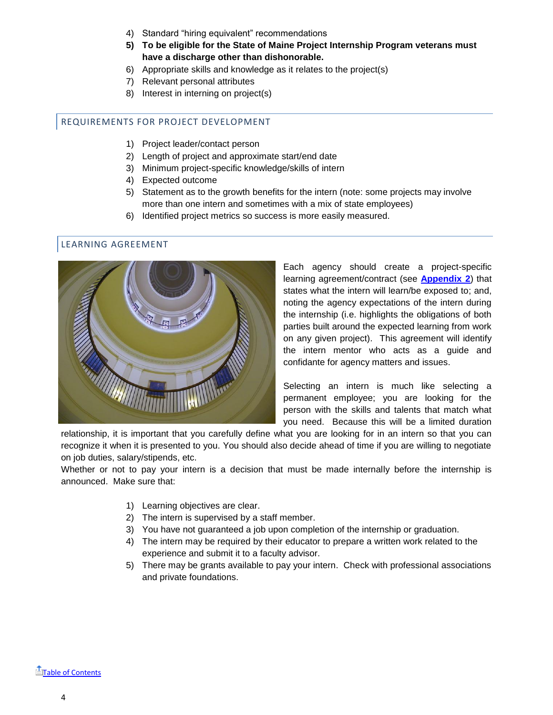- 4) Standard "hiring equivalent" recommendations
- **5) To be eligible for the State of Maine Project Internship Program veterans must have a discharge other than dishonorable.**
- 6) Appropriate skills and knowledge as it relates to the project(s)
- 7) Relevant personal attributes
- 8) Interest in interning on project(s)

#### <span id="page-4-0"></span>REQUIREMENTS FOR PROJECT DEVELOPMENT

- 1) Project leader/contact person
- 2) Length of project and approximate start/end date
- 3) Minimum project-specific knowledge/skills of intern
- 4) Expected outcome
- 5) Statement as to the growth benefits for the intern (note: some projects may involve more than one intern and sometimes with a mix of state employees)
- 6) Identified project metrics so success is more easily measured.

#### <span id="page-4-1"></span>LEARNING AGREEMENT



Each agency should create a project-specific learning agreement/contract (see **[Appendix 2](#page-9-0)**) that states what the intern will learn/be exposed to; and, noting the agency expectations of the intern during the internship (i.e. highlights the obligations of both parties built around the expected learning from work on any given project). This agreement will identify the intern mentor who acts as a guide and confidante for agency matters and issues.

Selecting an intern is much like selecting a permanent employee; you are looking for the person with the skills and talents that match what you need. Because this will be a limited duration

relationship, it is important that you carefully define what you are looking for in an intern so that you can recognize it when it is presented to you. You should also decide ahead of time if you are willing to negotiate on job duties, salary/stipends, etc.

Whether or not to pay your intern is a decision that must be made internally before the internship is announced. Make sure that:

- 1) Learning objectives are clear.
- 2) The intern is supervised by a staff member.
- 3) You have not guaranteed a job upon completion of the internship or graduation.
- 4) The intern may be required by their educator to prepare a written work related to the experience and submit it to a faculty advisor.
- 5) There may be grants available to pay your intern. Check with professional associations and private foundations.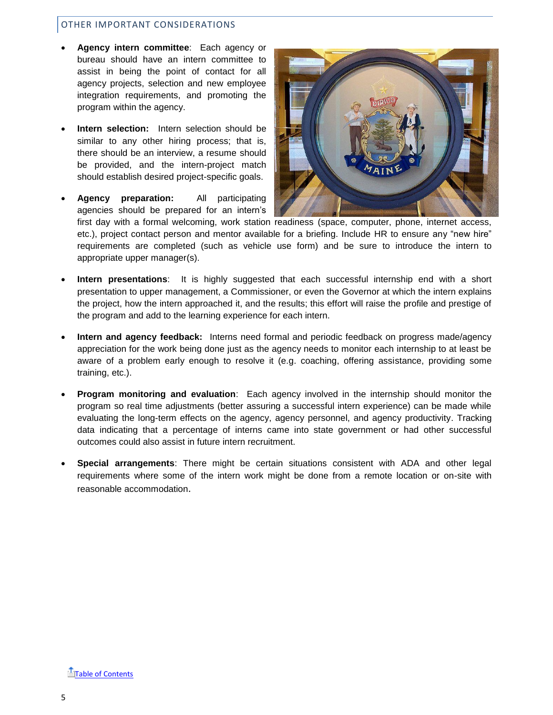#### <span id="page-5-0"></span>OTHER IMPORTANT CONSIDERATIONS

- **Agency intern committee**: Each agency or bureau should have an intern committee to assist in being the point of contact for all agency projects, selection and new employee integration requirements, and promoting the program within the agency.
- **Intern selection:** Intern selection should be similar to any other hiring process; that is, there should be an interview, a resume should be provided, and the intern-project match should establish desired project-specific goals.
- **Agency preparation:** All participating agencies should be prepared for an intern's



first day with a formal welcoming, work station readiness (space, computer, phone, internet access, etc.), project contact person and mentor available for a briefing. Include HR to ensure any "new hire" requirements are completed (such as vehicle use form) and be sure to introduce the intern to appropriate upper manager(s).

- **Intern presentations**: It is highly suggested that each successful internship end with a short presentation to upper management, a Commissioner, or even the Governor at which the intern explains the project, how the intern approached it, and the results; this effort will raise the profile and prestige of the program and add to the learning experience for each intern.
- **Intern and agency feedback:** Interns need formal and periodic feedback on progress made/agency appreciation for the work being done just as the agency needs to monitor each internship to at least be aware of a problem early enough to resolve it (e.g. coaching, offering assistance, providing some training, etc.).
- **Program monitoring and evaluation**: Each agency involved in the internship should monitor the program so real time adjustments (better assuring a successful intern experience) can be made while evaluating the long-term effects on the agency, agency personnel, and agency productivity. Tracking data indicating that a percentage of interns came into state government or had other successful outcomes could also assist in future intern recruitment.
- **Special arrangements**: There might be certain situations consistent with ADA and other legal requirements where some of the intern work might be done from a remote location or on-site with reasonable accommodation.

**T**[Table of Contents](#page-1-0)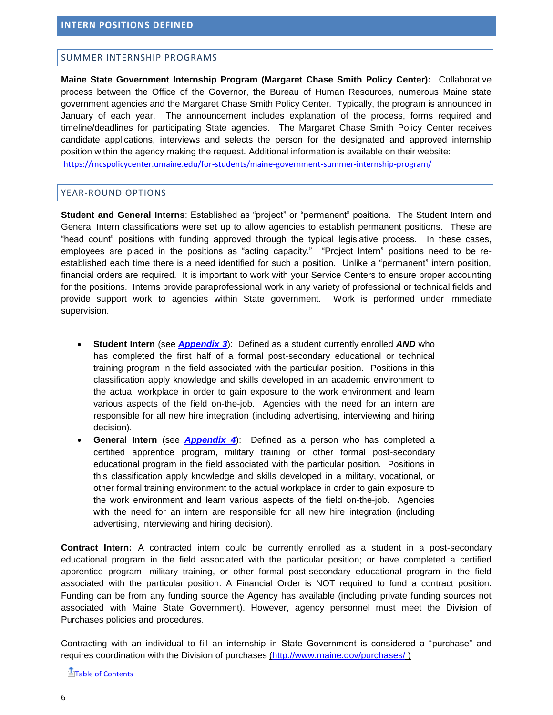#### <span id="page-6-1"></span><span id="page-6-0"></span>SUMMER INTERNSHIP PROGRAMS

**Maine State Government Internship Program (Margaret Chase Smith Policy Center):** Collaborative process between the Office of the Governor, the Bureau of Human Resources, numerous Maine state government agencies and the Margaret Chase Smith Policy Center. Typically, the program is announced in January of each year. The announcement includes explanation of the process, forms required and timeline/deadlines for participating State agencies. The Margaret Chase Smith Policy Center receives candidate applications, interviews and selects the person for the designated and approved internship position within the agency making the request. Additional information is available on their website: <https://mcspolicycenter.umaine.edu/for-students/maine-government-summer-internship-program/>

#### <span id="page-6-2"></span>YEAR-ROUND OPTIONS

**Student and General Interns**: Established as "project" or "permanent" positions. The Student Intern and General Intern classifications were set up to allow agencies to establish permanent positions. These are "head count" positions with funding approved through the typical legislative process. In these cases, employees are placed in the positions as "acting capacity." "Project Intern" positions need to be reestablished each time there is a need identified for such a position. Unlike a "permanent" intern position, financial orders are required. It is important to work with your Service Centers to ensure proper accounting for the positions. Interns provide paraprofessional work in any variety of professional or technical fields and provide support work to agencies within State government. Work is performed under immediate supervision.

- **Student Intern** (see *[Appendix 3](#page-11-0)*): Defined as a student currently enrolled *AND* who has completed the first half of a formal post-secondary educational or technical training program in the field associated with the particular position. Positions in this classification apply knowledge and skills developed in an academic environment to the actual workplace in order to gain exposure to the work environment and learn various aspects of the field on-the-job. Agencies with the need for an intern are responsible for all new hire integration (including advertising, interviewing and hiring decision).
- **General Intern** (see *[Appendix 4](#page-13-0)*): Defined as a person who has completed a certified apprentice program, military training or other formal post-secondary educational program in the field associated with the particular position. Positions in this classification apply knowledge and skills developed in a military, vocational, or other formal training environment to the actual workplace in order to gain exposure to the work environment and learn various aspects of the field on-the-job. Agencies with the need for an intern are responsible for all new hire integration (including advertising, interviewing and hiring decision).

**Contract Intern:** A contracted intern could be currently enrolled as a student in a post-secondary educational program in the field associated with the particular position; or have completed a certified apprentice program, military training, or other formal post-secondary educational program in the field associated with the particular position. A Financial Order is NOT required to fund a contract position. Funding can be from any funding source the Agency has available (including private funding sources not associated with Maine State Government). However, agency personnel must meet the Division of Purchases policies and procedures.

Contracting with an individual to fill an internship in State Government is considered a "purchase" and requires coordination with the Division of purchases [\(http://www.maine.gov/purchases/](http://www.maine.gov/purchases/) )

[Table of Contents](#page-1-0)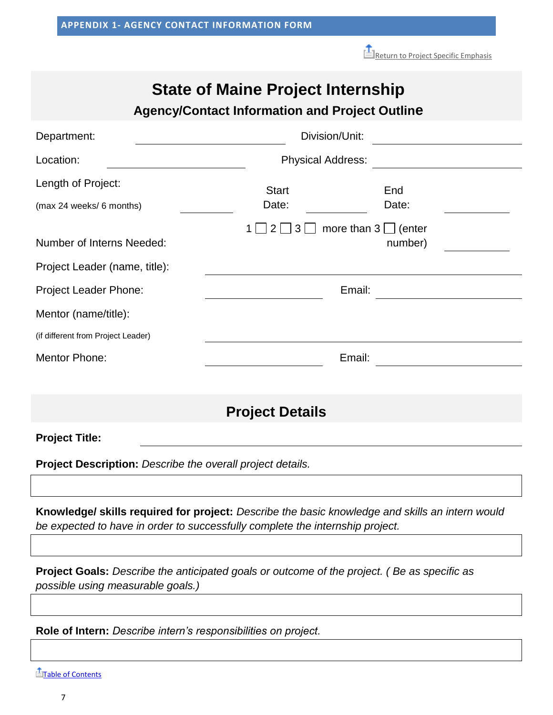[Return to Project Specific Emphasis](#page-3-3)

# **State of Maine Project Internship**

# **Agency/Contact Information and Project Outline**

<span id="page-7-0"></span>

| Department:                        | Division/Unit:           |                                      |  |  |  |  |  |  |
|------------------------------------|--------------------------|--------------------------------------|--|--|--|--|--|--|
| Location:                          | <b>Physical Address:</b> |                                      |  |  |  |  |  |  |
| Length of Project:                 | <b>Start</b>             | End                                  |  |  |  |  |  |  |
| (max 24 weeks/ 6 months)           | Date:                    | Date:                                |  |  |  |  |  |  |
| Number of Interns Needed:          | 3 <br> 2                 | more than $3 \Box$ (enter<br>number) |  |  |  |  |  |  |
| Project Leader (name, title):      |                          |                                      |  |  |  |  |  |  |
| Project Leader Phone:              | Email:                   |                                      |  |  |  |  |  |  |
| Mentor (name/title):               |                          |                                      |  |  |  |  |  |  |
| (if different from Project Leader) |                          |                                      |  |  |  |  |  |  |
| <b>Mentor Phone:</b>               | Email:                   |                                      |  |  |  |  |  |  |
|                                    |                          |                                      |  |  |  |  |  |  |

# **Project Details**

**Project Title:**

**Project Description:** *Describe the overall project details.*

**Knowledge/ skills required for project:** *Describe the basic knowledge and skills an intern would be expected to have in order to successfully complete the internship project.*

**Project Goals:** *Describe the anticipated goals or outcome of the project. ( Be as specific as possible using measurable goals.)*

**Role of Intern:** *Describe intern's responsibilities on project.*

**[Table of Contents](#page-1-0)**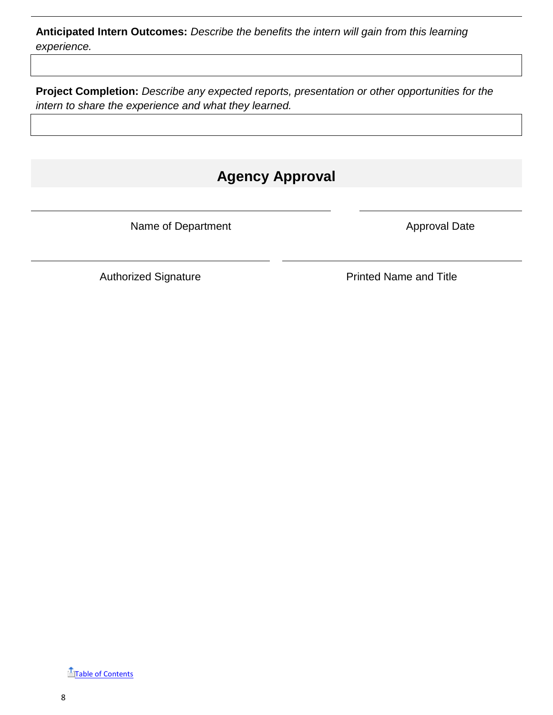**Anticipated Intern Outcomes:** *Describe the benefits the intern will gain from this learning experience.*

**Project Completion:** *Describe any expected reports, presentation or other opportunities for the intern to share the experience and what they learned.*

# **Agency Approval**

Name of Department Approval Date

Authorized Signature **Printed Name and Title** 

**T**[Table of Contents](#page-1-0)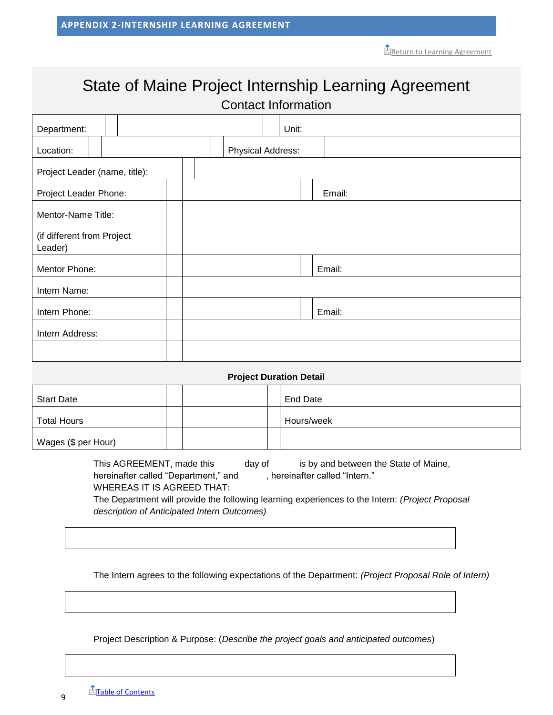# <span id="page-9-0"></span>State of Maine Project Internship Learning Agreement Contact Information

| Department:                           |  |  |                          | Unit: |        |  |  |  |
|---------------------------------------|--|--|--------------------------|-------|--------|--|--|--|
| Location:                             |  |  | <b>Physical Address:</b> |       |        |  |  |  |
| Project Leader (name, title):         |  |  |                          |       |        |  |  |  |
| Project Leader Phone:                 |  |  |                          |       | Email: |  |  |  |
| Mentor-Name Title:                    |  |  |                          |       |        |  |  |  |
| (if different from Project<br>Leader) |  |  |                          |       |        |  |  |  |
| Mentor Phone:                         |  |  |                          |       | Email: |  |  |  |
| Intern Name:                          |  |  |                          |       |        |  |  |  |
| Intern Phone:                         |  |  |                          |       | Email: |  |  |  |
| Intern Address:                       |  |  |                          |       |        |  |  |  |
|                                       |  |  |                          |       |        |  |  |  |
|                                       |  |  |                          |       |        |  |  |  |

#### **Project Duration Detail**

| <b>Start Date</b>   |  | End Date   |  |
|---------------------|--|------------|--|
| <b>Total Hours</b>  |  | Hours/week |  |
| Wages (\$ per Hour) |  |            |  |

This AGREEMENT, made this day of is by and between the State of Maine, hereinafter called "Department," and , hereinafter called "Intern." WHEREAS IT IS AGREED THAT: The Department will provide the following learning experiences to the Intern: *(Project Proposal description of Anticipated Intern Outcomes)*

The Intern agrees to the following expectations of the Department: *(Project Proposal Role of Intern)*

Project Description & Purpose: (*Describe the project goals and anticipated outcomes*)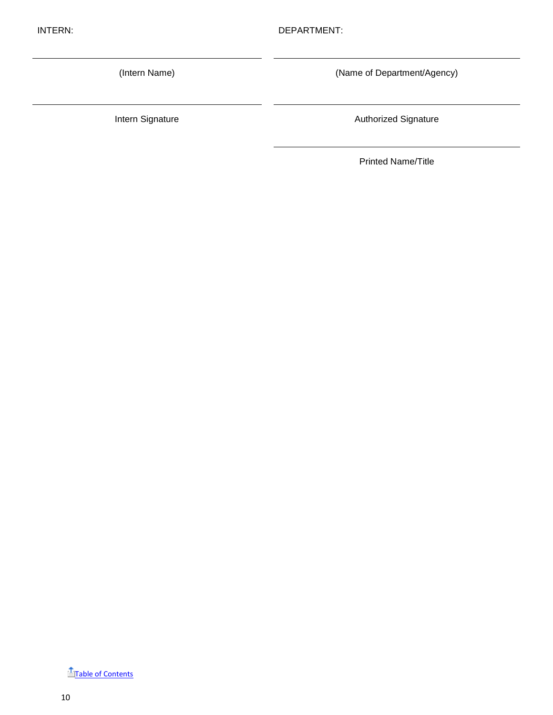(Intern Name) (Name of Department/Agency)

Intern Signature **Authorized Signature** Authorized Signature

Printed Name/Title

**T**[Table of Contents](#page-1-0)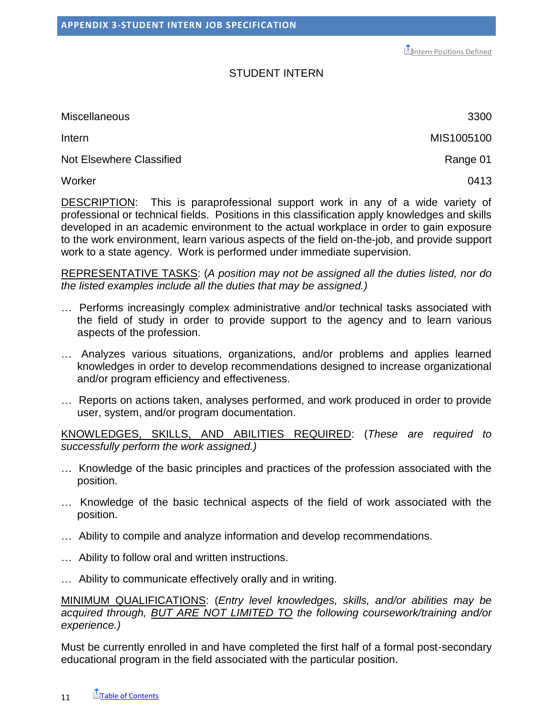**[Intern Positions Defined](#page-6-0)** 

## STUDENT INTERN

<span id="page-11-0"></span>Miscellaneous 3300

Not Elsewhere Classified **Range 01 Range 01** 

Worker 0413

DESCRIPTION: This is paraprofessional support work in any of a wide variety of professional or technical fields. Positions in this classification apply knowledges and skills developed in an academic environment to the actual workplace in order to gain exposure to the work environment, learn various aspects of the field on-the-job, and provide support work to a state agency. Work is performed under immediate supervision.

REPRESENTATIVE TASKS: (*A position may not be assigned all the duties listed, nor do the listed examples include all the duties that may be assigned.)*

- … Performs increasingly complex administrative and/or technical tasks associated with the field of study in order to provide support to the agency and to learn various aspects of the profession.
- … Analyzes various situations, organizations, and/or problems and applies learned knowledges in order to develop recommendations designed to increase organizational and/or program efficiency and effectiveness.
- … Reports on actions taken, analyses performed, and work produced in order to provide user, system, and/or program documentation.

KNOWLEDGES, SKILLS, AND ABILITIES REQUIRED: (*These are required to successfully perform the work assigned.)*

- … Knowledge of the basic principles and practices of the profession associated with the position.
- … Knowledge of the basic technical aspects of the field of work associated with the position.
- … Ability to compile and analyze information and develop recommendations.
- … Ability to follow oral and written instructions.
- … Ability to communicate effectively orally and in writing.

MINIMUM QUALIFICATIONS: (*Entry level knowledges, skills, and/or abilities may be acquired through, BUT ARE NOT LIMITED TO the following coursework/training and/or experience.)*

Must be currently enrolled in and have completed the first half of a formal post-secondary educational program in the field associated with the particular position.

Intern MIS1005100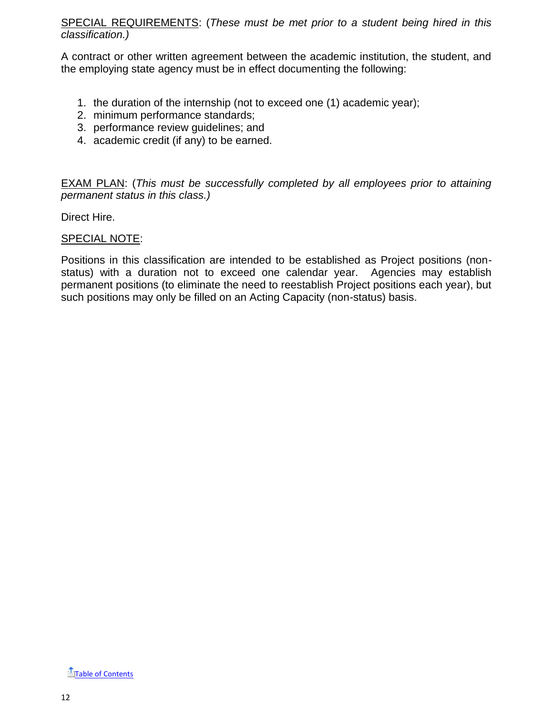SPECIAL REQUIREMENTS: (*These must be met prior to a student being hired in this classification.)*

A contract or other written agreement between the academic institution, the student, and the employing state agency must be in effect documenting the following:

- 1. the duration of the internship (not to exceed one (1) academic year);
- 2. minimum performance standards;
- 3. performance review guidelines; and
- 4. academic credit (if any) to be earned.

EXAM PLAN: (*This must be successfully completed by all employees prior to attaining permanent status in this class.)*

Direct Hire.

## SPECIAL NOTE:

Positions in this classification are intended to be established as Project positions (nonstatus) with a duration not to exceed one calendar year. Agencies may establish permanent positions (to eliminate the need to reestablish Project positions each year), but such positions may only be filled on an Acting Capacity (non-status) basis.

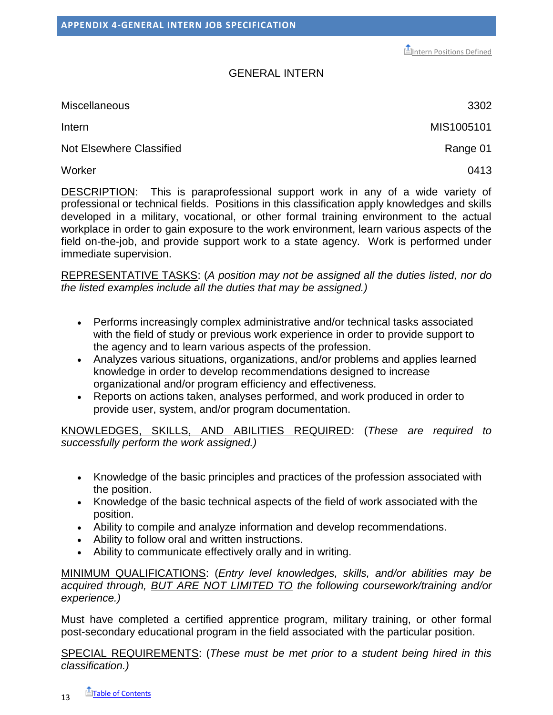**[Intern Positions Defined](#page-6-0)** 

## GENERAL INTERN

<span id="page-13-0"></span>Miscellaneous 3302

Intern MIS1005101

Not Elsewhere Classified **Range 01 Range 01** 

Worker 0413

DESCRIPTION: This is paraprofessional support work in any of a wide variety of professional or technical fields. Positions in this classification apply knowledges and skills developed in a military, vocational, or other formal training environment to the actual workplace in order to gain exposure to the work environment, learn various aspects of the field on-the-job, and provide support work to a state agency. Work is performed under immediate supervision.

REPRESENTATIVE TASKS: (*A position may not be assigned all the duties listed, nor do the listed examples include all the duties that may be assigned.)*

- Performs increasingly complex administrative and/or technical tasks associated with the field of study or previous work experience in order to provide support to the agency and to learn various aspects of the profession.
- Analyzes various situations, organizations, and/or problems and applies learned knowledge in order to develop recommendations designed to increase organizational and/or program efficiency and effectiveness.
- Reports on actions taken, analyses performed, and work produced in order to provide user, system, and/or program documentation.

KNOWLEDGES, SKILLS, AND ABILITIES REQUIRED: (*These are required to successfully perform the work assigned.)*

- Knowledge of the basic principles and practices of the profession associated with the position.
- Knowledge of the basic technical aspects of the field of work associated with the position.
- Ability to compile and analyze information and develop recommendations.
- Ability to follow oral and written instructions.
- Ability to communicate effectively orally and in writing.

MINIMUM QUALIFICATIONS: (*Entry level knowledges, skills, and/or abilities may be acquired through, BUT ARE NOT LIMITED TO the following coursework/training and/or experience.)*

Must have completed a certified apprentice program, military training, or other formal post-secondary educational program in the field associated with the particular position.

SPECIAL REQUIREMENTS: (*These must be met prior to a student being hired in this classification.)*

13